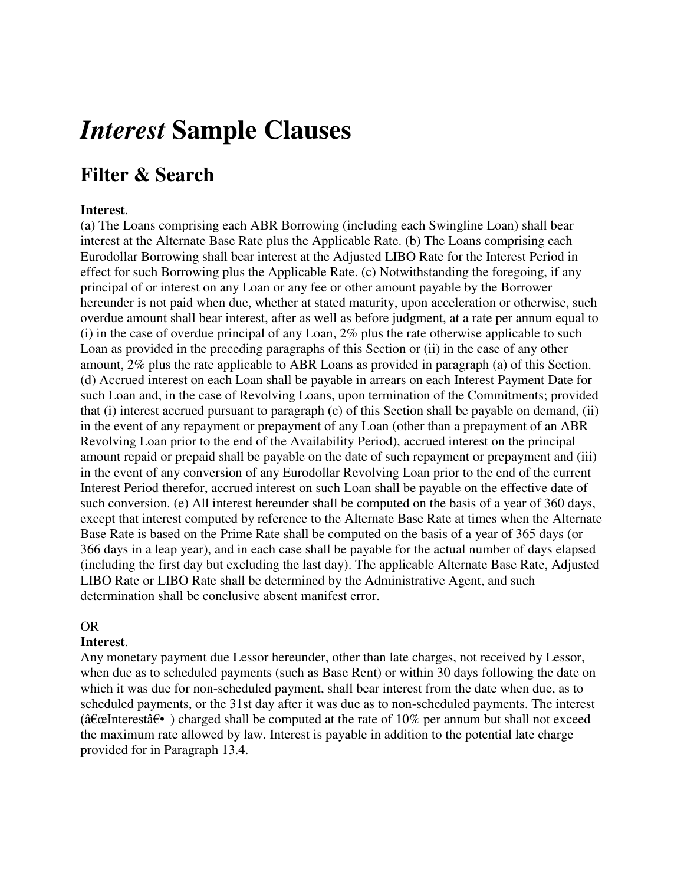# *Interest* **Sample Clauses**

## **Filter & Search**

#### **Interest**.

(a) The Loans comprising each ABR Borrowing (including each Swingline Loan) shall bear interest at the Alternate Base Rate plus the Applicable Rate. (b) The Loans comprising each Eurodollar Borrowing shall bear interest at the Adjusted LIBO Rate for the Interest Period in effect for such Borrowing plus the Applicable Rate. (c) Notwithstanding the foregoing, if any principal of or interest on any Loan or any fee or other amount payable by the Borrower hereunder is not paid when due, whether at stated maturity, upon acceleration or otherwise, such overdue amount shall bear interest, after as well as before judgment, at a rate per annum equal to (i) in the case of overdue principal of any Loan, 2% plus the rate otherwise applicable to such Loan as provided in the preceding paragraphs of this Section or (ii) in the case of any other amount, 2% plus the rate applicable to ABR Loans as provided in paragraph (a) of this Section. (d) Accrued interest on each Loan shall be payable in arrears on each Interest Payment Date for such Loan and, in the case of Revolving Loans, upon termination of the Commitments; provided that (i) interest accrued pursuant to paragraph (c) of this Section shall be payable on demand, (ii) in the event of any repayment or prepayment of any Loan (other than a prepayment of an ABR Revolving Loan prior to the end of the Availability Period), accrued interest on the principal amount repaid or prepaid shall be payable on the date of such repayment or prepayment and (iii) in the event of any conversion of any Eurodollar Revolving Loan prior to the end of the current Interest Period therefor, accrued interest on such Loan shall be payable on the effective date of such conversion. (e) All interest hereunder shall be computed on the basis of a year of 360 days, except that interest computed by reference to the Alternate Base Rate at times when the Alternate Base Rate is based on the Prime Rate shall be computed on the basis of a year of 365 days (or 366 days in a leap year), and in each case shall be payable for the actual number of days elapsed (including the first day but excluding the last day). The applicable Alternate Base Rate, Adjusted LIBO Rate or LIBO Rate shall be determined by the Administrative Agent, and such determination shall be conclusive absent manifest error.

#### OR

#### **Interest**.

Any monetary payment due Lessor hereunder, other than late charges, not received by Lessor, when due as to scheduled payments (such as Base Rent) or within 30 days following the date on which it was due for non-scheduled payment, shall bear interest from the date when due, as to scheduled payments, or the 31st day after it was due as to non-scheduled payments. The interest ( $\hat{\text{a}} \in \text{L}$  at  $\hat{\text{a}} \in \text{L}$ ) charged shall be computed at the rate of 10% per annum but shall not exceed the maximum rate allowed by law. Interest is payable in addition to the potential late charge provided for in Paragraph 13.4.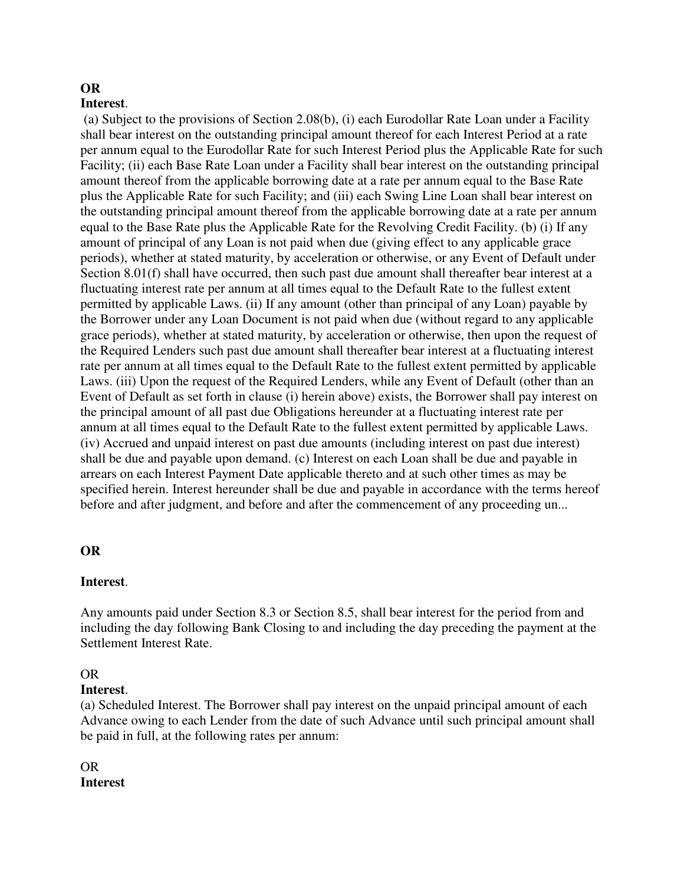### **OR**

#### **Interest**.

 (a) Subject to the provisions of Section 2.08(b), (i) each Eurodollar Rate Loan under a Facility shall bear interest on the outstanding principal amount thereof for each Interest Period at a rate per annum equal to the Eurodollar Rate for such Interest Period plus the Applicable Rate for such Facility; (ii) each Base Rate Loan under a Facility shall bear interest on the outstanding principal amount thereof from the applicable borrowing date at a rate per annum equal to the Base Rate plus the Applicable Rate for such Facility; and (iii) each Swing Line Loan shall bear interest on the outstanding principal amount thereof from the applicable borrowing date at a rate per annum equal to the Base Rate plus the Applicable Rate for the Revolving Credit Facility. (b) (i) If any amount of principal of any Loan is not paid when due (giving effect to any applicable grace periods), whether at stated maturity, by acceleration or otherwise, or any Event of Default under Section 8.01(f) shall have occurred, then such past due amount shall thereafter bear interest at a fluctuating interest rate per annum at all times equal to the Default Rate to the fullest extent permitted by applicable Laws. (ii) If any amount (other than principal of any Loan) payable by the Borrower under any Loan Document is not paid when due (without regard to any applicable grace periods), whether at stated maturity, by acceleration or otherwise, then upon the request of the Required Lenders such past due amount shall thereafter bear interest at a fluctuating interest rate per annum at all times equal to the Default Rate to the fullest extent permitted by applicable Laws. (iii) Upon the request of the Required Lenders, while any Event of Default (other than an Event of Default as set forth in clause (i) herein above) exists, the Borrower shall pay interest on the principal amount of all past due Obligations hereunder at a fluctuating interest rate per annum at all times equal to the Default Rate to the fullest extent permitted by applicable Laws. (iv) Accrued and unpaid interest on past due amounts (including interest on past due interest) shall be due and payable upon demand. (c) Interest on each Loan shall be due and payable in arrears on each Interest Payment Date applicable thereto and at such other times as may be specified herein. Interest hereunder shall be due and payable in accordance with the terms hereof before and after judgment, and before and after the commencement of any proceeding un...

#### **OR**

#### **Interest**.

Any amounts paid under Section 8.3 or Section 8.5, shall bear interest for the period from and including the day following Bank Closing to and including the day preceding the payment at the Settlement Interest Rate.

#### OR

#### **Interest**.

(a) Scheduled Interest. The Borrower shall pay interest on the unpaid principal amount of each Advance owing to each Lender from the date of such Advance until such principal amount shall be paid in full, at the following rates per annum:

#### OR **Interest**